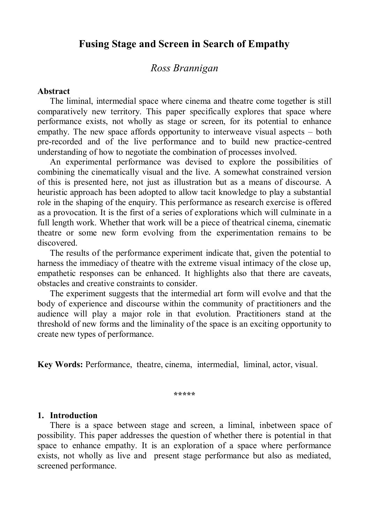## **Fusing Stage and Screen in Search of Empathy**

## *Ross Brannigan*

### **Abstract**

The liminal, intermedial space where cinema and theatre come together is still comparatively new territory. This paper specifically explores that space where performance exists, not wholly as stage or screen, for its potential to enhance empathy. The new space affords opportunity to interweave visual aspects – both pre-recorded and of the live performance and to build new practice-centred understanding of how to negotiate the combination of processes involved.

An experimental performance was devised to explore the possibilities of combining the cinematically visual and the live. A somewhat constrained version of this is presented here, not just as illustration but as a means of discourse. A heuristic approach has been adopted to allow tacit knowledge to play a substantial role in the shaping of the enquiry. This performance as research exercise is offered as a provocation. It is the first of a series of explorations which will culminate in a full length work. Whether that work will be a piece of theatrical cinema, cinematic theatre or some new form evolving from the experimentation remains to be discovered.

The results of the performance experiment indicate that, given the potential to harness the immediacy of theatre with the extreme visual intimacy of the close up, empathetic responses can be enhanced. It highlights also that there are caveats, obstacles and creative constraints to consider.

The experiment suggests that the intermedial art form will evolve and that the body of experience and discourse within the community of practitioners and the audience will play a major role in that evolution. Practitioners stand at the threshold of new forms and the liminality of the space is an exciting opportunity to create new types of performance.

**Key Words:** Performance, theatre, cinema, intermedial, liminal, actor, visual.

**\*\*\*\*\***

#### **1. Introduction**

There is a space between stage and screen, a liminal, inbetween space of possibility. This paper addresses the question of whether there is potential in that space to enhance empathy. It is an exploration of a space where performance exists, not wholly as live and present stage performance but also as mediated, screened performance.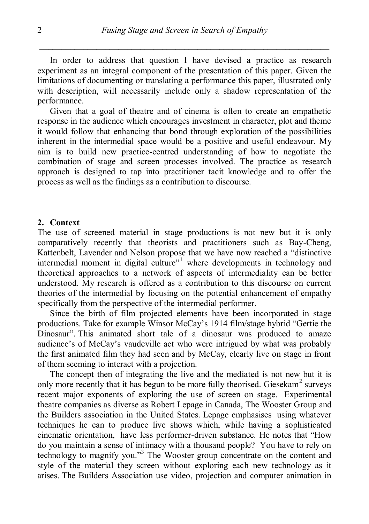In order to address that question I have devised a practice as research experiment as an integral component of the presentation of this paper. Given the limitations of documenting or translating a performance this paper, illustrated only with description, will necessarily include only a shadow representation of the performance.

Given that a goal of theatre and of cinema is often to create an empathetic response in the audience which encourages investment in character, plot and theme it would follow that enhancing that bond through exploration of the possibilities inherent in the intermedial space would be a positive and useful endeavour. My aim is to build new practice-centred understanding of how to negotiate the combination of stage and screen processes involved. The practice as research approach is designed to tap into practitioner tacit knowledge and to offer the process as well as the findings as a contribution to discourse.

#### **2. Context**

The use of screened material in stage productions is not new but it is only comparatively recently that theorists and practitioners such as Bay-Cheng, Kattenbelt, Lavender and Nelson propose that we have now reached a "distinctive intermedial moment in digital culture"<sup>1</sup> where developments in technology and theoretical approaches to a network of aspects of intermediality can be better understood. My research is offered as a contribution to this discourse on current theories of the intermedial by focusing on the potential enhancement of empathy specifically from the perspective of the intermedial performer.

Since the birth of film projected elements have been incorporated in stage productions. Take for example Winsor McCay"s 1914 film/stage hybrid "Gertie the Dinosaur". This animated short tale of a dinosaur was produced to amaze audience"s of McCay"s vaudeville act who were intrigued by what was probably the first animated film they had seen and by McCay, clearly live on stage in front of them seeming to interact with a projection.

The concept then of integrating the live and the mediated is not new but it is only more recently that it has begun to be more fully theorised. Giesekam<sup>2</sup> surveys recent major exponents of exploring the use of screen on stage. Experimental theatre companies as diverse as Robert Lepage in Canada, The Wooster Group and the Builders association in the United States. Lepage emphasises using whatever techniques he can to produce live shows which, while having a sophisticated cinematic orientation, have less performer-driven substance. He notes that "How do you maintain a sense of intimacy with a thousand people? You have to rely on technology to magnify you."<sup>3</sup> The Wooster group concentrate on the content and style of the material they screen without exploring each new technology as it arises. The Builders Association use video, projection and computer animation in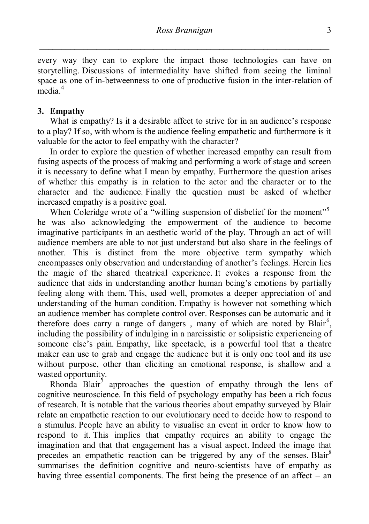every way they can to explore the impact those technologies can have on storytelling. Discussions of intermediality have shifted from seeing the liminal space as one of in-betweenness to one of productive fusion in the inter-relation of media. 4

## **3. Empathy**

What is empathy? Is it a desirable affect to strive for in an audience's response to a play? If so, with whom is the audience feeling empathetic and furthermore is it valuable for the actor to feel empathy with the character?

In order to explore the question of whether increased empathy can result from fusing aspects of the process of making and performing a work of stage and screen it is necessary to define what I mean by empathy. Furthermore the question arises of whether this empathy is in relation to the actor and the character or to the character and the audience. Finally the question must be asked of whether increased empathy is a positive goal.

When Coleridge wrote of a "willing suspension of disbelief for the moment"<sup>5</sup> he was also acknowledging the empowerment of the audience to become imaginative participants in an aesthetic world of the play. Through an act of will audience members are able to not just understand but also share in the feelings of another. This is distinct from the more objective term sympathy which encompasses only observation and understanding of another"s feelings. Herein lies the magic of the shared theatrical experience. It evokes a response from the audience that aids in understanding another human being"s emotions by partially feeling along with them. This, used well, promotes a deeper appreciation of and understanding of the human condition. Empathy is however not something which an audience member has complete control over. Responses can be automatic and it therefore does carry a range of dangers, many of which are noted by Blair<sup>6</sup>, including the possibility of indulging in a narcissistic or solipsistic experiencing of someone else"s pain. Empathy, like spectacle, is a powerful tool that a theatre maker can use to grab and engage the audience but it is only one tool and its use without purpose, other than eliciting an emotional response, is shallow and a wasted opportunity.

Rhonda Blair<sup>7</sup> approaches the question of empathy through the lens of cognitive neuroscience. In this field of psychology empathy has been a rich focus of research. It is notable that the various theories about empathy surveyed by Blair relate an empathetic reaction to our evolutionary need to decide how to respond to a stimulus. People have an ability to visualise an event in order to know how to respond to it. This implies that empathy requires an ability to engage the imagination and that that engagement has a visual aspect. Indeed the image that precedes an empathetic reaction can be triggered by any of the senses. Blair<sup>8</sup> summarises the definition cognitive and neuro-scientists have of empathy as having three essential components. The first being the presence of an affect – an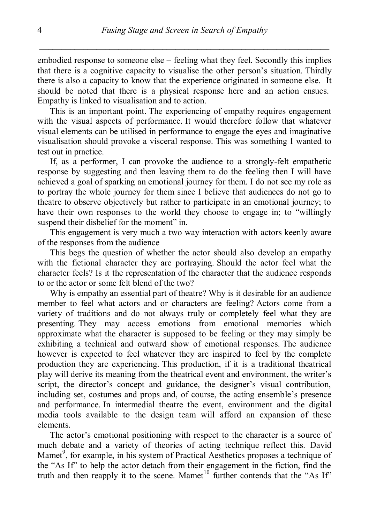embodied response to someone else – feeling what they feel. Secondly this implies that there is a cognitive capacity to visualise the other person"s situation. Thirdly there is also a capacity to know that the experience originated in someone else. It should be noted that there is a physical response here and an action ensues. Empathy is linked to visualisation and to action.

This is an important point. The experiencing of empathy requires engagement with the visual aspects of performance. It would therefore follow that whatever visual elements can be utilised in performance to engage the eyes and imaginative visualisation should provoke a visceral response. This was something I wanted to test out in practice.

If, as a performer, I can provoke the audience to a strongly-felt empathetic response by suggesting and then leaving them to do the feeling then I will have achieved a goal of sparking an emotional journey for them. I do not see my role as to portray the whole journey for them since I believe that audiences do not go to theatre to observe objectively but rather to participate in an emotional journey; to have their own responses to the world they choose to engage in; to "willingly suspend their disbelief for the moment" in.

This engagement is very much a two way interaction with actors keenly aware of the responses from the audience

This begs the question of whether the actor should also develop an empathy with the fictional character they are portraying. Should the actor feel what the character feels? Is it the representation of the character that the audience responds to or the actor or some felt blend of the two?

Why is empathy an essential part of theatre? Why is it desirable for an audience member to feel what actors and or characters are feeling? Actors come from a variety of traditions and do not always truly or completely feel what they are presenting. They may access emotions from emotional memories which approximate what the character is supposed to be feeling or they may simply be exhibiting a technical and outward show of emotional responses. The audience however is expected to feel whatever they are inspired to feel by the complete production they are experiencing. This production, if it is a traditional theatrical play will derive its meaning from the theatrical event and environment, the writer"s script, the director's concept and guidance, the designer's visual contribution, including set, costumes and props and, of course, the acting ensemble"s presence and performance. In intermedial theatre the event, environment and the digital media tools available to the design team will afford an expansion of these elements.

The actor"s emotional positioning with respect to the character is a source of much debate and a variety of theories of acting technique reflect this. David Mamet<sup>9</sup>, for example, in his system of Practical Aesthetics proposes a technique of the "As If" to help the actor detach from their engagement in the fiction, find the truth and then reapply it to the scene. Mamet<sup>10</sup> further contends that the "As If"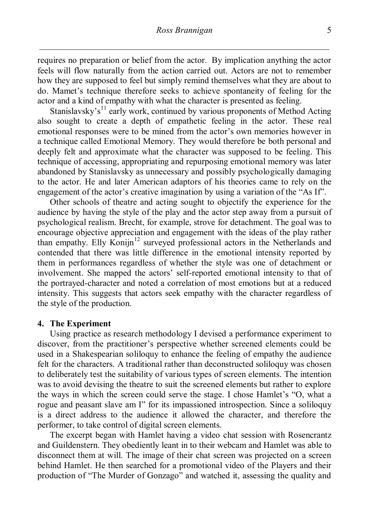requires no preparation or belief from the actor. By implication anything the actor feels will flow naturally from the action carried out. Actors are not to remember how they are supposed to feel but simply remind themselves what they are about to do. Mamet"s technique therefore seeks to achieve spontaneity of feeling for the actor and a kind of empathy with what the character is presented as feeling.

Stanislavsky's<sup>11</sup> early work, continued by various proponents of Method Acting also sought to create a depth of empathetic feeling in the actor. These real emotional responses were to be mined from the actor"s own memories however in a technique called Emotional Memory. They would therefore be both personal and deeply felt and approximate what the character was supposed to be feeling. This technique of accessing, appropriating and repurposing emotional memory was later abandoned by Stanislavsky as unnecessary and possibly psychologically damaging to the actor. He and later American adaptors of his theories came to rely on the engagement of the actor's creative imagination by using a variation of the "As If".

Other schools of theatre and acting sought to objectify the experience for the audience by having the style of the play and the actor step away from a pursuit of psychological realism. Brecht, for example, strove for detachment. The goal was to encourage objective appreciation and engagement with the ideas of the play rather than empathy. Elly Konijn<sup>12</sup> surveyed professional actors in the Netherlands and contended that there was little difference in the emotional intensity reported by them in performances regardless of whether the style was one of detachment or involvement. She mapped the actors" self-reported emotional intensity to that of the portrayed-character and noted a correlation of most emotions but at a reduced intensity. This suggests that actors seek empathy with the character regardless of the style of the production.

#### **4. The Experiment**

Using practice as research methodology I devised a performance experiment to discover, from the practitioner"s perspective whether screened elements could be used in a Shakespearian soliloquy to enhance the feeling of empathy the audience felt for the characters. A traditional rather than deconstructed soliloquy was chosen to deliberately test the suitability of various types of screen elements. The intention was to avoid devising the theatre to suit the screened elements but rather to explore the ways in which the screen could serve the stage. I chose Hamlet"s "O, what a rogue and peasant slave am I" for its impassioned introspection. Since a soliloquy is a direct address to the audience it allowed the character, and therefore the performer, to take control of digital screen elements.

The excerpt began with Hamlet having a video chat session with Rosencrantz and Guildenstern. They obediently leant in to their webcam and Hamlet was able to disconnect them at will. The image of their chat screen was projected on a screen behind Hamlet. He then searched for a promotional video of the Players and their production of "The Murder of Gonzago" and watched it, assessing the quality and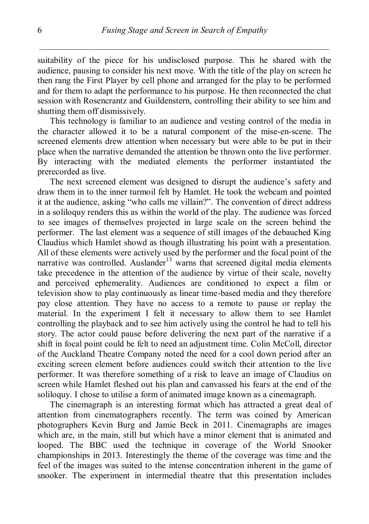suitability of the piece for his undisclosed purpose. This he shared with the audience, pausing to consider his next move. With the title of the play on screen he then rang the First Player by cell phone and arranged for the play to be performed and for them to adapt the performance to his purpose. He then reconnected the chat session with Rosencrantz and Guildenstern, controlling their ability to see him and shutting them off dismissively.

This technology is familiar to an audience and vesting control of the media in the character allowed it to be a natural component of the mise-en-scene. The screened elements drew attention when necessary but were able to be put in their place when the narrative demanded the attention be thrown onto the live performer. By interacting with the mediated elements the performer instantiated the prerecorded as live.

The next screened element was designed to disrupt the audience"s safety and draw them in to the inner turmoil felt by Hamlet. He took the webcam and pointed it at the audience, asking "who calls me villain?". The convention of direct address in a soliloquy renders this as within the world of the play. The audience was forced to see images of themselves projected in large scale on the screen behind the performer. The last element was a sequence of still images of the debauched King Claudius which Hamlet showd as though illustrating his point with a presentation. All of these elements were actively used by the performer and the focal point of the narrative was controlled. Auslander<sup>13</sup> warns that screened digital media elements take precedence in the attention of the audience by virtue of their scale, novelty and perceived ephemerality. Audiences are conditioned to expect a film or television show to play continuously as linear time-based media and they therefore pay close attention. They have no access to a remote to pause or replay the material. In the experiment I felt it necessary to allow them to see Hamlet controlling the playback and to see him actively using the control he had to tell his story. The actor could pause before delivering the next part of the narrative if a shift in focal point could be felt to need an adjustment time. Colin McColl, director of the Auckland Theatre Company noted the need for a cool down period after an exciting screen element before audiences could switch their attention to the live performer. It was therefore something of a risk to leave an image of Claudius on screen while Hamlet fleshed out his plan and canvassed his fears at the end of the soliloquy. I chose to utilise a form of animated image known as a cinemagraph.

The cinemagraph is an interesting format which has attracted a great deal of attention from cinematographers recently. The term was coined by American photographers Kevin Burg and Jamie Beck in 2011. Cinemagraphs are images which are, in the main, still but which have a minor element that is animated and looped. The BBC used the technique in coverage of the World Snooker championships in 2013. Interestingly the theme of the coverage was time and the feel of the images was suited to the intense concentration inherent in the game of snooker. The experiment in intermedial theatre that this presentation includes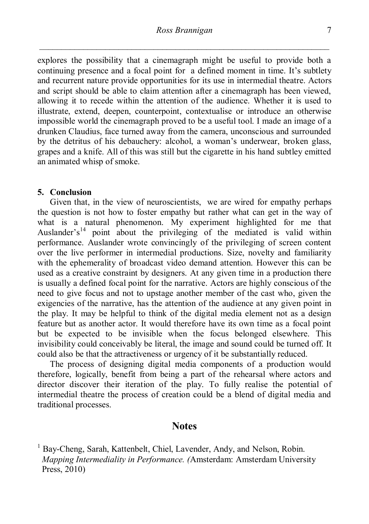explores the possibility that a cinemagraph might be useful to provide both a continuing presence and a focal point for a defined moment in time. It's subtlety and recurrent nature provide opportunities for its use in intermedial theatre. Actors and script should be able to claim attention after a cinemagraph has been viewed, allowing it to recede within the attention of the audience. Whether it is used to illustrate, extend, deepen, counterpoint, contextualise or introduce an otherwise impossible world the cinemagraph proved to be a useful tool. I made an image of a drunken Claudius, face turned away from the camera, unconscious and surrounded by the detritus of his debauchery: alcohol, a woman"s underwear, broken glass, grapes and a knife. All of this was still but the cigarette in his hand subtley emitted an animated whisp of smoke.

#### **5. Conclusion**

Given that, in the view of neuroscientists, we are wired for empathy perhaps the question is not how to foster empathy but rather what can get in the way of what is a natural phenomenon. My experiment highlighted for me that Auslander's<sup>14</sup> point about the privileging of the mediated is valid within performance. Auslander wrote convincingly of the privileging of screen content over the live performer in intermedial productions. Size, novelty and familiarity with the ephemerality of broadcast video demand attention. However this can be used as a creative constraint by designers. At any given time in a production there is usually a defined focal point for the narrative. Actors are highly conscious of the need to give focus and not to upstage another member of the cast who, given the exigencies of the narrative, has the attention of the audience at any given point in the play. It may be helpful to think of the digital media element not as a design feature but as another actor. It would therefore have its own time as a focal point but be expected to be invisible when the focus belonged elsewhere. This invisibility could conceivably be literal, the image and sound could be turned off. It could also be that the attractiveness or urgency of it be substantially reduced.

The process of designing digital media components of a production would therefore, logically, benefit from being a part of the rehearsal where actors and director discover their iteration of the play. To fully realise the potential of intermedial theatre the process of creation could be a blend of digital media and traditional processes.

## **Notes**

<sup>1</sup> Bay-Cheng, Sarah, Kattenbelt, Chiel, Lavender, Andy, and Nelson, Robin. *Mapping Intermediality in Performance. (*Amsterdam: Amsterdam University Press, 2010)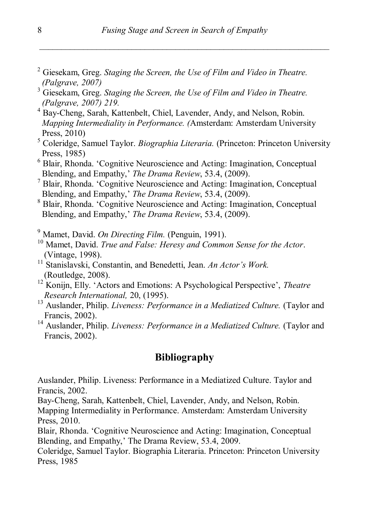- <sup>2</sup> Giesekam, Greg. *Staging the Screen, the Use of Film and Video in Theatre. (Palgrave, 2007)*
- <sup>3</sup> Giesekam, Greg. *Staging the Screen, the Use of Film and Video in Theatre. (Palgrave, 2007) 219.*
- <sup>4</sup> Bay-Cheng, Sarah, Kattenbelt, Chiel, Lavender, Andy, and Nelson, Robin. *Mapping Intermediality in Performance. (*Amsterdam: Amsterdam University Press, 2010)
- <sup>5</sup> Coleridge, Samuel Taylor. *Biographia Literaria.* (Princeton: Princeton University Press, 1985)
- <sup>6</sup> Blair, Rhonda. "Cognitive Neuroscience and Acting: Imagination, Conceptual Blending, and Empathy," *The Drama Review*, 53.4, (2009).
- <sup>7</sup> Blair, Rhonda. "Cognitive Neuroscience and Acting: Imagination, Conceptual Blending, and Empathy," *The Drama Review*, 53.4, (2009).
- <sup>8</sup> Blair, Rhonda. "Cognitive Neuroscience and Acting: Imagination, Conceptual Blending, and Empathy," *The Drama Review*, 53.4, (2009).

<sup>9</sup> Mamet, David. *On Directing Film.* (Penguin, 1991).

- <sup>10</sup> Mamet, David. *True and False: Heresy and Common Sense for the Actor*. (Vintage, 1998).
- <sup>11</sup> Stanislavski, Constantin, and Benedetti, Jean. An Actor's Work. (Routledge, 2008).
- <sup>12</sup> Konijn, Elly. 'Actors and Emotions: A Psychological Perspective', *Theatre Research International,* 20, (1995).
- <sup>13</sup> Auslander, Philip. *Liveness: Performance in a Mediatized Culture*. (Taylor and Francis, 2002).
- <sup>14</sup> Auslander, Philip. *Liveness: Performance in a Mediatized Culture*. (Taylor and Francis, 2002).

# **Bibliography**

Auslander, Philip. Liveness: Performance in a Mediatized Culture. Taylor and Francis, 2002.

Bay-Cheng, Sarah, Kattenbelt, Chiel, Lavender, Andy, and Nelson, Robin. Mapping Intermediality in Performance. Amsterdam: Amsterdam University Press, 2010.

Blair, Rhonda. "Cognitive Neuroscience and Acting: Imagination, Conceptual Blending, and Empathy,' The Drama Review, 53.4, 2009.

Coleridge, Samuel Taylor. Biographia Literaria. Princeton: Princeton University Press, 1985